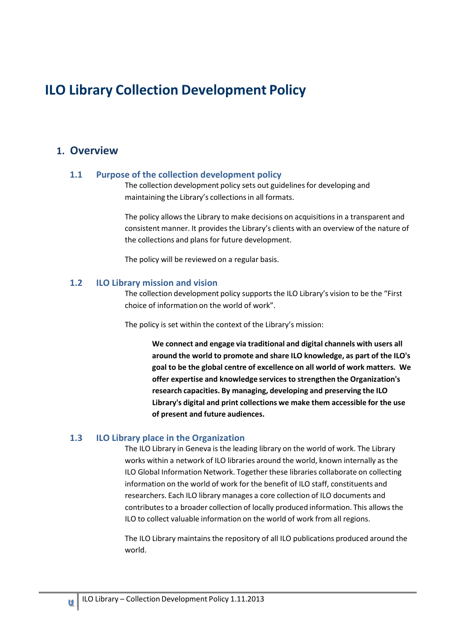# **ILO Library Collection Development Policy**

## **1. Overview**

#### **1.1 Purpose of the collection development policy**

The collection development policy sets out guidelines for developing and maintaining the Library's collections in all formats.

The policy allows the Library to make decisions on acquisitions in a transparent and consistent manner. It provides the Library's clients with an overview of the nature of the collections and plans for future development.

The policy will be reviewed on a regular basis.

#### **1.2 ILO Library mission and vision**

The collection development policy supports the ILO Library's vision to be the "First choice of information on the world of work".

The policy is set within the context of the Library's mission:

**We connect and engage via traditional and digital channels with users all around the world to promote and share ILO knowledge, as part of the ILO's goal to be the global centre of excellence on all world of work matters. We offer expertise and knowledge servicesto strengthen the Organization's research capacities. By managing, developing and preserving the ILO Library's digital and print collections we make them accessible for the use of present and future audiences.**

#### **1.3 ILO Library place in the Organization**

The ILO Library in Geneva is the leading library on the world of work. The Library works within a network of ILO libraries around the world, known internally as the ILO Global Information Network. Together these libraries collaborate on collecting information on the world of work for the benefit of ILO staff, constituents and researchers. Each ILO library manages a core collection of ILO documents and contributesto a broader collection of locally produced information. This allows the ILO to collect valuable information on the world of work from all regions.

The ILO Library maintainsthe repository of all ILO publications produced around the world.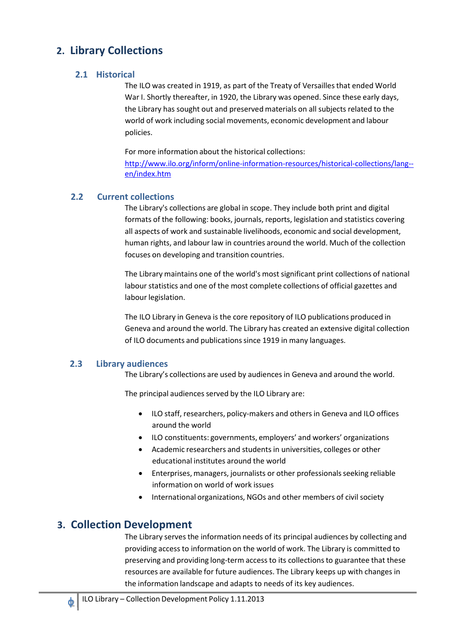## **2. Library Collections**

## **2.1 Historical**

The ILO was created in 1919, as part of the Treaty of Versailles that ended World War I. Shortly thereafter, in 1920, the Library was opened. Since these early days, the Library has sought out and preserved materials on all subjects related to the world of work including social movements, economic development and labour policies.

For more information about the historical collections:

[http://www.ilo.org/inform/online-information-resources/historical-collections/lang-](http://www.ilo.org/inform/online-information-resources/historical-collections/lang--en/index.htm) [en/index.htm](http://www.ilo.org/inform/online-information-resources/historical-collections/lang--en/index.htm)

## **2.2 Current collections**

The Library's collections are global in scope. They include both print and digital formats of the following: books, journals, reports, legislation and statistics covering all aspects of work and sustainable livelihoods, economic and social development, human rights, and labour law in countries around the world. Much of the collection focuses on developing and transition countries.

The Library maintains one of the world's most significant print collections of national labour statistics and one of the most complete collections of official gazettes and labour legislation.

The ILO Library in Geneva is the core repository of ILO publications produced in Geneva and around the world. The Library has created an extensive digital collection of ILO documents and publications since 1919 in many languages.

## **2.3 Library audiences**

The Library's collections are used by audiencesin Geneva and around the world.

The principal audiences served by the ILO Library are:

- ILO staff, researchers, policy-makers and others in Geneva and ILO offices around the world
- ILO constituents: governments, employers' and workers' organizations
- Academic researchers and students in universities, colleges or other educational institutes around the world
- Enterprises, managers, journalists or other professionals seeking reliable information on world of work issues
- International organizations, NGOs and other members of civil society

## **3. Collection Development**

The Library serves the information needs of its principal audiences by collecting and providing access to information on the world of work. The Library is committed to preserving and providing long-term access to its collectionsto guarantee that these resources are available for future audiences. The Library keeps up with changes in the information landscape and adapts to needs of its key audiences.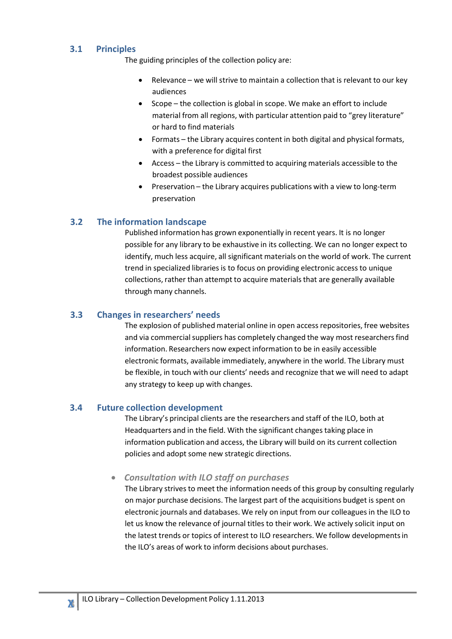## **3.1 Principles**

The guiding principles of the collection policy are:

- Relevance we will strive to maintain a collection that is relevant to our key audiences
- Scope the collection is global in scope. We make an effort to include material from all regions, with particular attention paid to "grey literature" or hard to find materials
- Formats the Library acquires content in both digital and physical formats, with a preference for digital first
- Access the Library is committed to acquiring materials accessible to the broadest possible audiences
- Preservation the Library acquires publications with a view to long-term preservation

## **3.2 The information landscape**

Published information has grown exponentially in recent years. It is no longer possible for any library to be exhaustive in its collecting. We can no longer expect to identify, much less acquire, all significant materials on the world of work. The current trend in specialized libraries is to focus on providing electronic access to unique collections, rather than attempt to acquire materials that are generally available through many channels.

### **3.3 Changes in researchers' needs**

The explosion of published material online in open access repositories, free websites and via commercial suppliers has completely changed the way most researchers find information. Researchers now expect information to be in easily accessible electronic formats, available immediately, anywhere in the world. The Library must be flexible, in touch with our clients' needs and recognize that we will need to adapt any strategy to keep up with changes.

### **3.4 Future collection development**

The Library's principal clients are the researchers and staff of the ILO, both at Headquarters and in the field. With the significant changes taking place in information publication and access, the Library will build on its current collection policies and adopt some new strategic directions.

### • *Consultation with ILO staff on purchases*

The Library strives to meet the information needs of this group by consulting regularly on major purchase decisions. The largest part of the acquisitions budget is spent on electronic journals and databases. We rely on input from our colleaguesin the ILO to let us know the relevance of journal titles to their work. We actively solicit input on the latest trends or topics of interest to ILO researchers. We follow developmentsin the ILO's areas of work to inform decisions about purchases.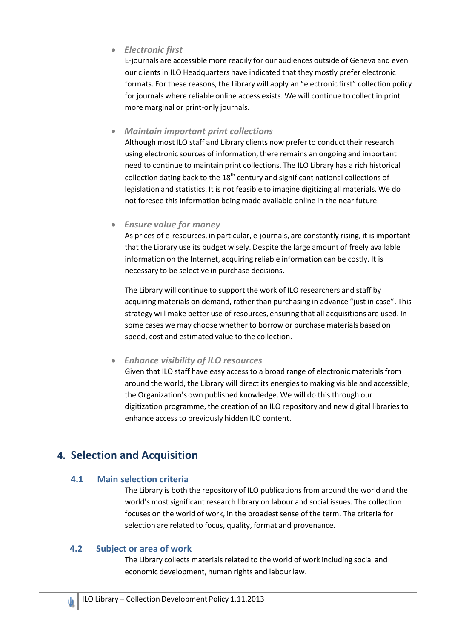• *Electronic first*

E-journals are accessible more readily for our audiences outside of Geneva and even our clients in ILO Headquarters have indicated that they mostly prefer electronic formats. For these reasons, the Library will apply an "electronic first" collection policy for journals where reliable online access exists. We will continue to collect in print more marginal or print-only journals.

• *Maintain important print collections*

Although most ILO staff and Library clients now prefer to conduct their research using electronic sources of information, there remains an ongoing and important need to continue to maintain print collections. The ILO Library has a rich historical collection dating back to the  $18<sup>th</sup>$  century and significant national collections of legislation and statistics. It is not feasible to imagine digitizing all materials. We do not foresee this information being made available online in the near future.

## • *Ensure value for money*

As prices of e-resources, in particular, e-journals, are constantly rising, it is important that the Library use its budget wisely. Despite the large amount of freely available information on the Internet, acquiring reliable information can be costly. It is necessary to be selective in purchase decisions.

The Library will continue to support the work of ILO researchers and staff by acquiring materials on demand, rather than purchasing in advance "just in case". This strategy will make better use of resources, ensuring that all acquisitions are used. In some cases we may choose whether to borrow or purchase materials based on speed, cost and estimated value to the collection.

## • *Enhance visibility of ILO resources*

Given that ILO staff have easy access to a broad range of electronic materials from around the world, the Library will direct its energies to making visible and accessible, the Organization's own published knowledge. We will do this through our digitization programme, the creation of an ILO repository and new digital libraries to enhance access to previously hidden ILO content.

## **4. Selection and Acquisition**

## **4.1 Main selection criteria**

The Library is both the repository of ILO publications from around the world and the world's most significant research library on labour and social issues. The collection focuses on the world of work, in the broadest sense of the term. The criteria for selection are related to focus, quality, format and provenance.

## **4.2 Subject or area of work**

The Library collects materials related to the world of work including social and economic development, human rights and labour law.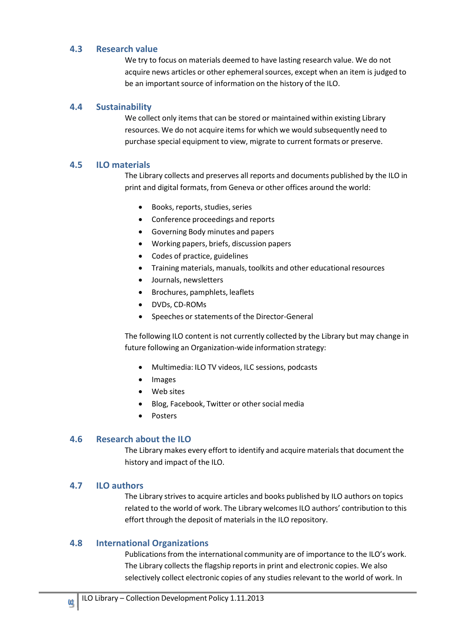### **4.3 Research value**

We try to focus on materials deemed to have lasting research value. We do not acquire news articles or other ephemeral sources, except when an item is judged to be an important source of information on the history of the ILO.

### **4.4 Sustainability**

We collect only items that can be stored or maintained within existing Library resources. We do not acquire items for which we would subsequently need to purchase special equipment to view, migrate to current formats or preserve.

### **4.5 ILO materials**

The Library collects and preserves all reports and documents published by the ILO in print and digital formats, from Geneva or other offices around the world:

- Books, reports, studies, series
- Conference proceedings and reports
- Governing Body minutes and papers
- Working papers, briefs, discussion papers
- Codes of practice, guidelines
- Training materials, manuals, toolkits and other educational resources
- Journals, newsletters
- Brochures, pamphlets, leaflets
- DVDs, CD-ROMs
- Speeches or statements of the Director-General

The following ILO content is not currently collected by the Library but may change in future following an Organization-wide information strategy:

- Multimedia: ILO TV videos, ILC sessions, podcasts
- Images
- Web sites
- Blog, Facebook, Twitter or other social media
- Posters

#### **4.6 Research about the ILO**

The Library makes every effort to identify and acquire materials that document the history and impact of the ILO.

#### **4.7 ILO authors**

The Library strives to acquire articles and books published by ILO authors on topics related to the world of work. The Library welcomes ILO authors' contribution to this effort through the deposit of materialsin the ILO repository.

### **4.8 International Organizations**

Publications from the international community are of importance to the ILO's work. The Library collects the flagship reports in print and electronic copies. We also selectively collect electronic copies of any studies relevant to the world of work. In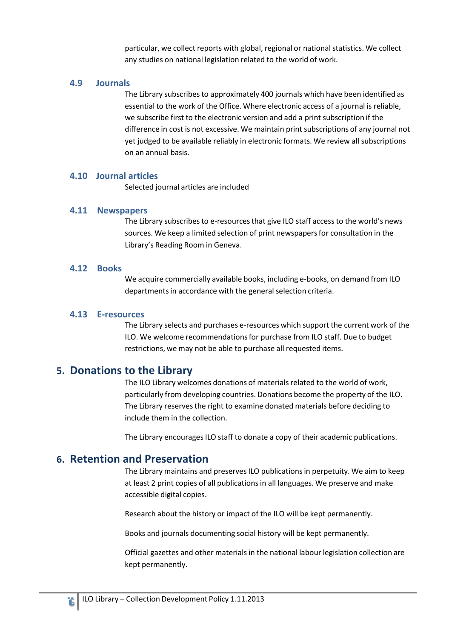particular, we collect reports with global, regional or national statistics. We collect any studies on national legislation related to the world of work.

#### **4.9 Journals**

The Library subscribes to approximately 400 journals which have been identified as essential to the work of the Office. Where electronic access of a journal is reliable, we subscribe first to the electronic version and add a print subscription if the difference in cost is not excessive. We maintain print subscriptions of any journal not yet judged to be available reliably in electronic formats. We review all subscriptions on an annual basis.

#### **4.10 Journal articles**

Selected journal articles are included

### **4.11 Newspapers**

The Library subscribes to e-resourcesthat give ILO staff access to the world's news sources. We keep a limited selection of print newspapersfor consultation in the Library's Reading Room in Geneva.

#### **4.12 Books**

We acquire commercially available books, including e-books, on demand from ILO departments in accordance with the general selection criteria.

#### **4.13 E‐resources**

The Library selects and purchases e-resources which support the current work of the ILO. We welcome recommendationsfor purchase from ILO staff. Due to budget restrictions, we may not be able to purchase all requested items.

## **5. Donations to the Library**

The ILO Library welcomes donations of materials related to the world of work, particularly from developing countries. Donations become the property of the ILO. The Library reserves the right to examine donated materials before deciding to include them in the collection.

The Library encourages ILO staff to donate a copy of their academic publications.

## **6. Retention and Preservation**

The Library maintains and preserves ILO publications in perpetuity. We aim to keep at least 2 print copies of all publications in all languages. We preserve and make accessible digital copies.

Research about the history or impact of the ILO will be kept permanently.

Books and journals documenting social history will be kept permanently.

Official gazettes and other materials in the national labour legislation collection are kept permanently.